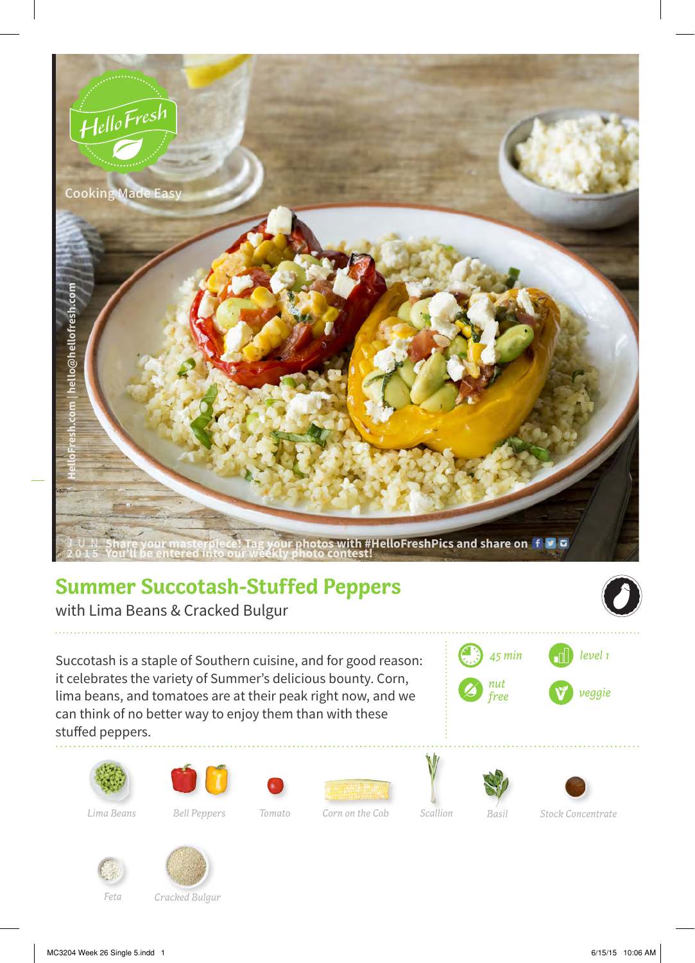

lima beans, and tomatoes are at their peak right now, and we can think of no better way to enjoy them than with these stuffed peppers.

















*Bell Peppers Tomato*

*Corn on the Cob Basil*

*Lima Beans Scallion Stock Concentrate*





*Cracked Bulgur*